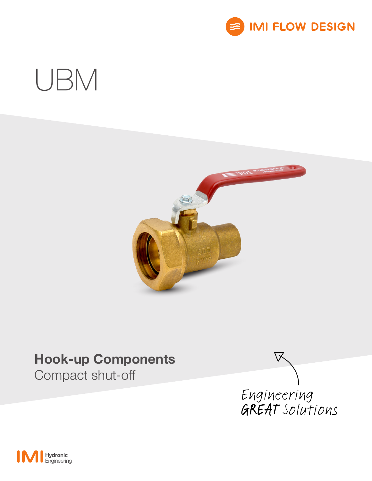

# UBM



## Hook-up Components

Compact shut-off



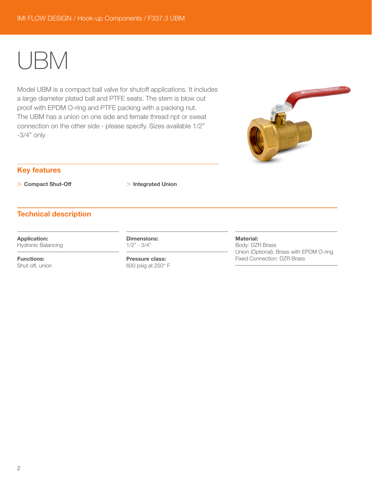## UBM

Model UBM is a compact ball valve for shutoff applications. It includes a large diameter plated ball and PTFE seats. The stem is blow out proof with EPDM O-ring and PTFE packing with a packing nut. The UBM has a union on one side and female thread npt or sweat connection on the other side - please specify. Sizes available 1/2" -3/4" only



## Key features

> Compact Shut-Off > Integrated Union

## Technical description

Application:

Hydronic Balancing

Functions: Shut-off, union Dimensions: 1/2" - 3/4"

Pressure class: 600 psig at 250° F

### Material:

Body: DZR Brass Union (Optional): Brass with EPDM O-ring Fixed Connection: DZR Brass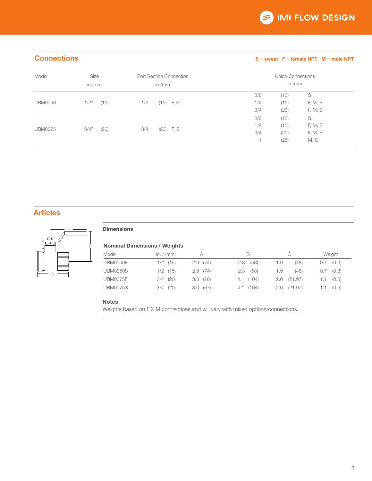## Connections S = sweat F = female NPT M = male NPT

| Model          | Size<br>in./mm | <b>Port Section Connectios</b><br>in./ $mm$ | Union Connections<br>in./mm |      |         |
|----------------|----------------|---------------------------------------------|-----------------------------|------|---------|
|                |                |                                             | 3/8                         | (10) | S       |
| <b>UBM0050</b> | (15)<br>1/2"   | $(15)$ F, S<br>1/2                          | 1/2                         | (15) | F, M, S |
|                |                |                                             | 3/4                         | (20) | F, M, S |
| <b>UBM0075</b> |                |                                             | 3/8                         | (10) | S       |
|                |                |                                             | 1/2                         | (15) | F, M, S |
|                | 3/4"<br>(20)   | $(20)$ F, S<br>3/4                          | 3/4                         | (20) | F, M, S |
|                |                |                                             |                             | (25) | M, S    |

## Articles



## **Dimensions**

## Nominal Dimensions / Weights

| Model           | in. $/$ (mm) |         | в           |                 | Weight           |
|-----------------|--------------|---------|-------------|-----------------|------------------|
| <b>UBM0050F</b> | $1/2$ (15)   | 2.9(74) | (58)<br>2.3 | (48)<br>1.9     | (0.3)<br>0.7     |
| <b>UBM0050S</b> | $1/2$ (15)   | 2.9(74) | $2.3$ (58)  | (48)<br>1.9     | (0.3)<br>0.7     |
| UBM0075F        | $3/4$ (20)   | 3.0(76) | 4.1(104)    | $2.0$ $(21.97)$ | (0.5)<br>$1.1 -$ |
| <b>UBM0075S</b> | $3/4$ (20)   | 3.0(67) | 4.1(104)    | , (21.97)       | (0.5)<br>1.1 -   |

### Notes

.

Weights based on F X M connections and will vary with mixed options/connections.